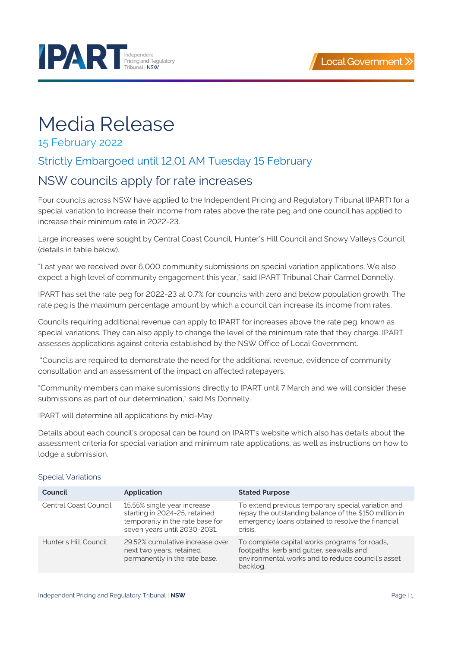

# **PART Exhibition PARTIAL PROPERTY**

# Media Release

### 15 February 2022

## Strictly Embargoed until 12.01 AM Tuesday 15 February

# NSW councils apply for rate increases

Four councils across NSW have applied to the Independent Pricing and Regulatory Tribunal (IPART) for a special variation to increase their income from rates above the rate peg and one council has applied to increase their minimum rate in 2022-23.

Large increases were sought by Central Coast Council, Hunter's Hill Council and Snowy Valleys Council (details in table below).

"Last year we received over 6,000 community submissions on special variation applications. We also expect a high level of community engagement this year," said IPART Tribunal Chair Carmel Donnelly.

IPART has set the rate peg for 2022-23 at 0.7% for councils with zero and below population growth. The rate peg is the maximum percentage amount by which a council can increase its income from rates.

Councils requiring additional revenue can apply to IPART for increases above the rate peg, known as special variations. They can also apply to change the level of the minimum rate that they charge. IPART assesses applications against criteria established by the NSW Office of Local Government.

"Councils are required to demonstrate the need for the additional revenue, evidence of community consultation and an assessment of the impact on affected ratepayers,

"Community members can make submissions directly to IPART until 7 March and we will consider these submissions as part of our determination," said Ms Donnelly.

IPART will determine all applications by mid-May.

Details about each council's proposal can be found on IPART's website which also has details about the assessment criteria for special variation and minimum rate applications, as well as instructions on how to lodge a submission.

#### Special Variations

| Council               | <b>Application</b>                                                                                                               | <b>Stated Purpose</b>                                                                                                                                                       |
|-----------------------|----------------------------------------------------------------------------------------------------------------------------------|-----------------------------------------------------------------------------------------------------------------------------------------------------------------------------|
| Central Coast Council | 15.55% single year increase<br>starting in 2024-25, retained<br>temporarily in the rate base for<br>seven years until 2030-2031. | To extend previous temporary special variation and<br>repay the outstanding balance of the \$150 million in<br>emergency loans obtained to resolve the financial<br>crisis. |
| Hunter's Hill Council | 29.52% cumulative increase over<br>next two years, retained<br>permanently in the rate base.                                     | To complete capital works programs for roads,<br>footpaths, kerb and gutter, seawalls and<br>environmental works and to reduce council's asset<br>backlog.                  |